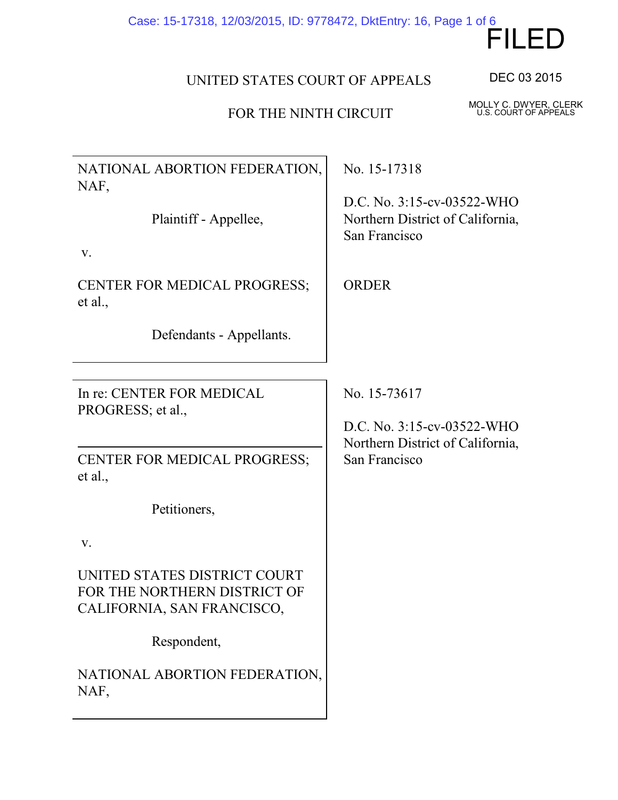# FILED Case: 15-17318, 12/03/2015, ID: 9778472, DktEntry: 16, Page 1 of 6

MOLLY C. DWYER, CLERK U.S. COURT OF APPEALS

## UNITED STATES COURT OF APPEALS

### FOR THE NINTH CIRCUIT

NATIONAL ABORTION FEDERATION, NAF,

Plaintiff - Appellee,

v.

CENTER FOR MEDICAL PROGRESS; et al.,

Defendants - Appellants.

In re: CENTER FOR MEDICAL PROGRESS; et al.,

CENTER FOR MEDICAL PROGRESS; et al.,

Petitioners,

v.

UNITED STATES DISTRICT COURT FOR THE NORTHERN DISTRICT OF CALIFORNIA, SAN FRANCISCO,

Respondent,

NATIONAL ABORTION FEDERATION, NAF,

No. 15-17318

D.C. No. 3:15-cv-03522-WHO Northern District of California, San Francisco

ORDER

No. 15-73617

D.C. No. 3:15-cv-03522-WHO Northern District of California, San Francisco

DEC 03 2015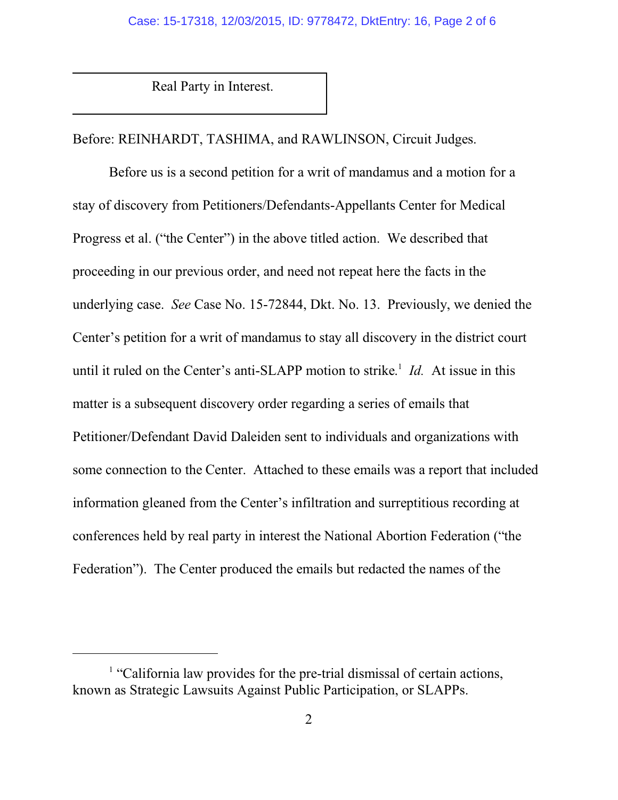Real Party in Interest.

Before: REINHARDT, TASHIMA, and RAWLINSON, Circuit Judges.

Before us is a second petition for a writ of mandamus and a motion for a stay of discovery from Petitioners/Defendants-Appellants Center for Medical Progress et al. ("the Center") in the above titled action. We described that proceeding in our previous order, and need not repeat here the facts in the underlying case. *See* Case No. 15-72844, Dkt. No. 13. Previously, we denied the Center's petition for a writ of mandamus to stay all discovery in the district court until it ruled on the Center's anti-SLAPP motion to strike. 1 *Id.* At issue in this matter is a subsequent discovery order regarding a series of emails that Petitioner/Defendant David Daleiden sent to individuals and organizations with some connection to the Center. Attached to these emails was a report that included information gleaned from the Center's infiltration and surreptitious recording at conferences held by real party in interest the National Abortion Federation ("the Federation"). The Center produced the emails but redacted the names of the

<sup>&</sup>lt;sup>1</sup> "California law provides for the pre-trial dismissal of certain actions, known as Strategic Lawsuits Against Public Participation, or SLAPPs.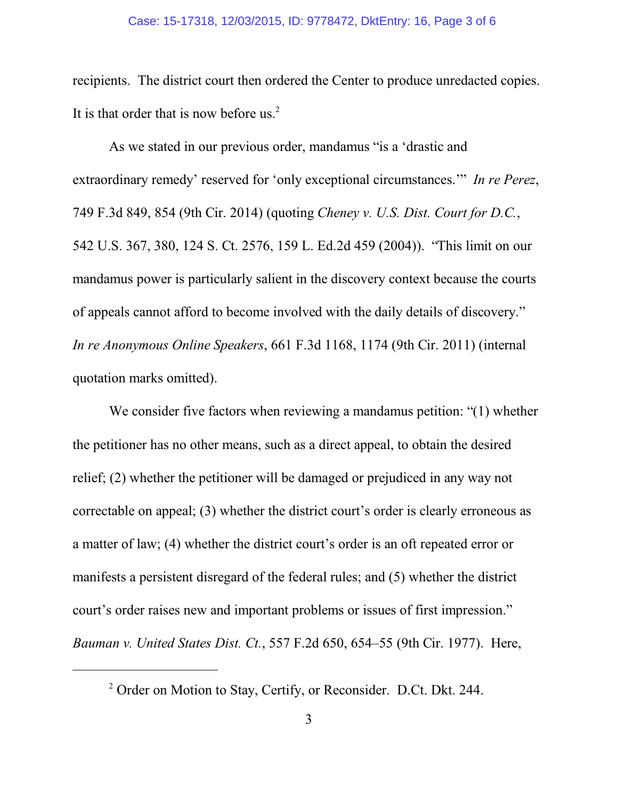#### Case: 15-17318, 12/03/2015, ID: 9778472, DktEntry: 16, Page 3 of 6

recipients. The district court then ordered the Center to produce unredacted copies. It is that order that is now before us. $2$ 

As we stated in our previous order, mandamus "is a 'drastic and extraordinary remedy' reserved for 'only exceptional circumstances.'" *In re Perez*, 749 F.3d 849, 854 (9th Cir. 2014) (quoting *Cheney v. U.S. Dist. Court for D.C.*, 542 U.S. 367, 380, 124 S. Ct. 2576, 159 L. Ed.2d 459 (2004)). "This limit on our mandamus power is particularly salient in the discovery context because the courts of appeals cannot afford to become involved with the daily details of discovery." *In re Anonymous Online Speakers*, 661 F.3d 1168, 1174 (9th Cir. 2011) (internal quotation marks omitted).

We consider five factors when reviewing a mandamus petition: "(1) whether the petitioner has no other means, such as a direct appeal, to obtain the desired relief; (2) whether the petitioner will be damaged or prejudiced in any way not correctable on appeal; (3) whether the district court's order is clearly erroneous as a matter of law; (4) whether the district court's order is an oft repeated error or manifests a persistent disregard of the federal rules; and (5) whether the district court's order raises new and important problems or issues of first impression." *Bauman v. United States Dist. Ct.*, 557 F.2d 650, 654–55 (9th Cir. 1977). Here,

<sup>&</sup>lt;sup>2</sup> Order on Motion to Stay, Certify, or Reconsider. D.Ct. Dkt. 244.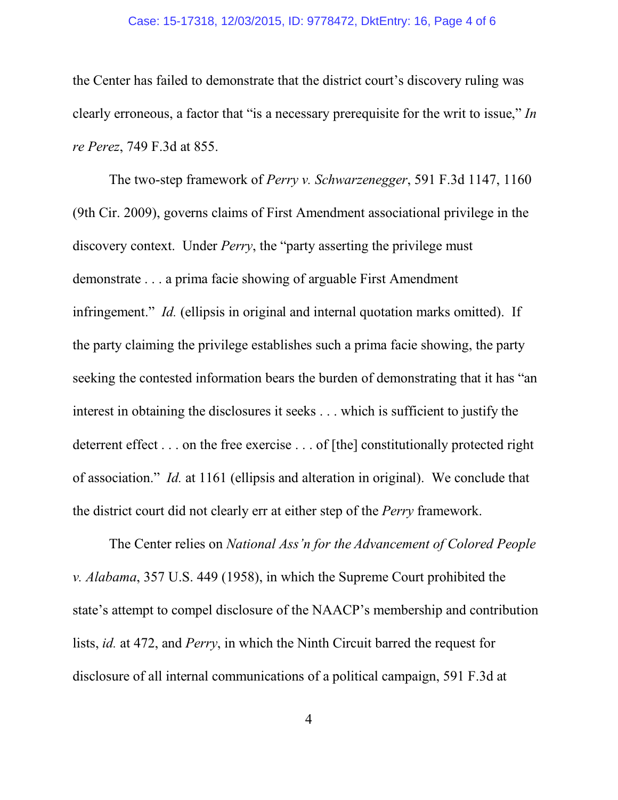#### Case: 15-17318, 12/03/2015, ID: 9778472, DktEntry: 16, Page 4 of 6

the Center has failed to demonstrate that the district court's discovery ruling was clearly erroneous, a factor that "is a necessary prerequisite for the writ to issue," *In re Perez*, 749 F.3d at 855.

The two-step framework of *Perry v. Schwarzenegger*, 591 F.3d 1147, 1160 (9th Cir. 2009), governs claims of First Amendment associational privilege in the discovery context. Under *Perry*, the "party asserting the privilege must demonstrate . . . a prima facie showing of arguable First Amendment infringement." *Id.* (ellipsis in original and internal quotation marks omitted). If the party claiming the privilege establishes such a prima facie showing, the party seeking the contested information bears the burden of demonstrating that it has "an interest in obtaining the disclosures it seeks . . . which is sufficient to justify the deterrent effect . . . on the free exercise . . . of [the] constitutionally protected right of association." *Id.* at 1161 (ellipsis and alteration in original). We conclude that the district court did not clearly err at either step of the *Perry* framework.

The Center relies on *National Ass'n for the Advancement of Colored People v. Alabama*, 357 U.S. 449 (1958), in which the Supreme Court prohibited the state's attempt to compel disclosure of the NAACP's membership and contribution lists, *id.* at 472, and *Perry*, in which the Ninth Circuit barred the request for disclosure of all internal communications of a political campaign, 591 F.3d at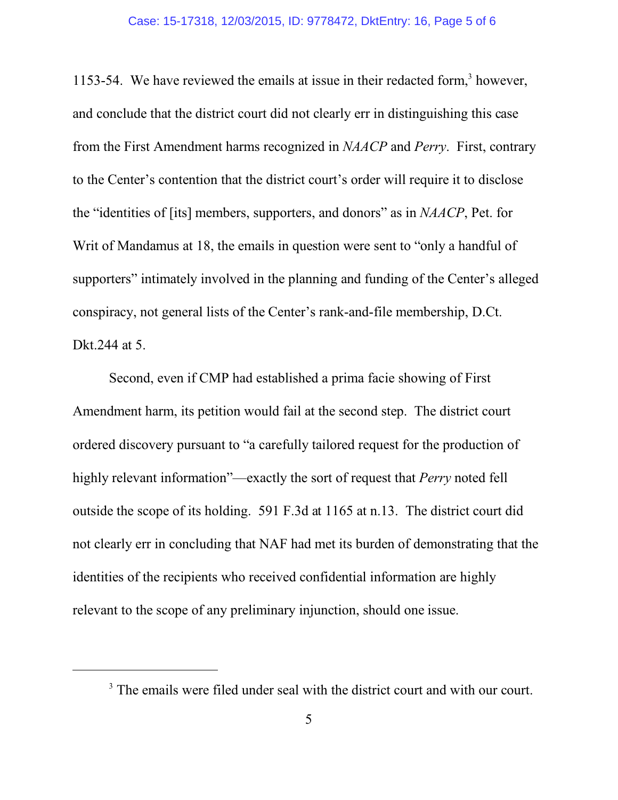1153-54. We have reviewed the emails at issue in their redacted form,<sup>3</sup> however, and conclude that the district court did not clearly err in distinguishing this case from the First Amendment harms recognized in *NAACP* and *Perry*. First, contrary to the Center's contention that the district court's order will require it to disclose the "identities of [its] members, supporters, and donors" as in *NAACP*, Pet. for Writ of Mandamus at 18, the emails in question were sent to "only a handful of supporters" intimately involved in the planning and funding of the Center's alleged conspiracy, not general lists of the Center's rank-and-file membership, D.Ct. Dkt.244 at 5.

Second, even if CMP had established a prima facie showing of First Amendment harm, its petition would fail at the second step. The district court ordered discovery pursuant to "a carefully tailored request for the production of highly relevant information"—exactly the sort of request that *Perry* noted fell outside the scope of its holding. 591 F.3d at 1165 at n.13. The district court did not clearly err in concluding that NAF had met its burden of demonstrating that the identities of the recipients who received confidential information are highly relevant to the scope of any preliminary injunction, should one issue.

<sup>&</sup>lt;sup>3</sup> The emails were filed under seal with the district court and with our court.